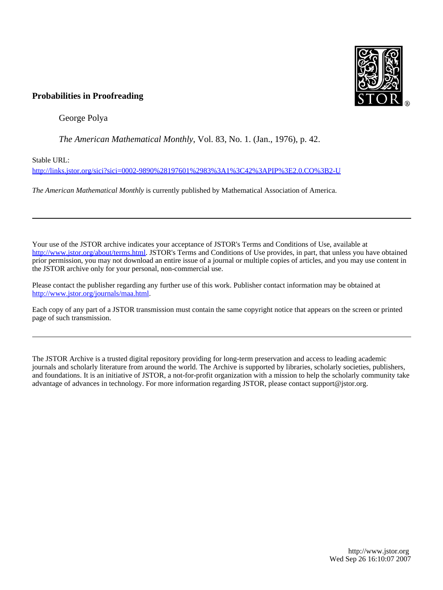

# **Probabilities in Proofreading**

George Polya

*The American Mathematical Monthly*, Vol. 83, No. 1. (Jan., 1976), p. 42.

Stable URL:

<http://links.jstor.org/sici?sici=0002-9890%28197601%2983%3A1%3C42%3APIP%3E2.0.CO%3B2-U>

*The American Mathematical Monthly* is currently published by Mathematical Association of America.

Your use of the JSTOR archive indicates your acceptance of JSTOR's Terms and Conditions of Use, available at [http://www.jstor.org/about/terms.html.](http://www.jstor.org/about/terms.html) JSTOR's Terms and Conditions of Use provides, in part, that unless you have obtained prior permission, you may not download an entire issue of a journal or multiple copies of articles, and you may use content in the JSTOR archive only for your personal, non-commercial use.

Please contact the publisher regarding any further use of this work. Publisher contact information may be obtained at <http://www.jstor.org/journals/maa.html>.

Each copy of any part of a JSTOR transmission must contain the same copyright notice that appears on the screen or printed page of such transmission.

The JSTOR Archive is a trusted digital repository providing for long-term preservation and access to leading academic journals and scholarly literature from around the world. The Archive is supported by libraries, scholarly societies, publishers, and foundations. It is an initiative of JSTOR, a not-for-profit organization with a mission to help the scholarly community take advantage of advances in technology. For more information regarding JSTOR, please contact support@jstor.org.